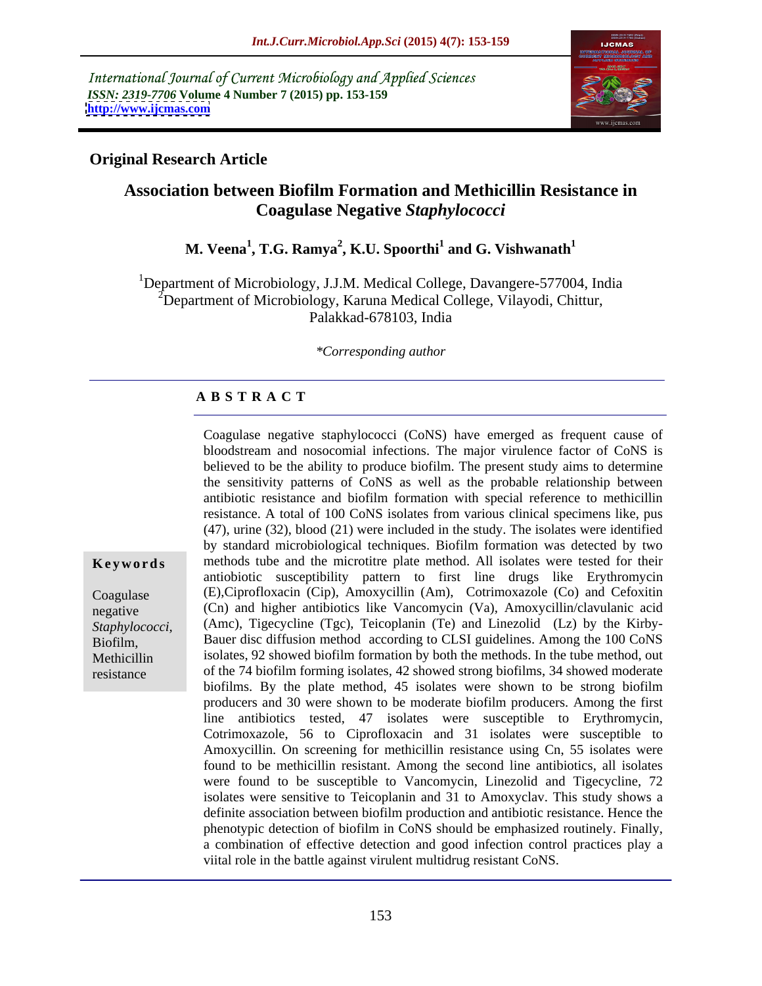International Journal of Current Microbiology and Applied Sciences *ISSN: 2319-7706* **Volume 4 Number 7 (2015) pp. 153-159 <http://www.ijcmas.com>**



### **Original Research Article**

# **Association between Biofilm Formation and Methicillin Resistance in Coagulase Negative** *Staphylococci*

### **M. Veena<sup>1</sup> , T.G. Ramya<sup>2</sup> , K.U. Spoorthi<sup>1</sup> and G. Vishwanath<sup>1</sup>**

<sup>1</sup>Department of Microbiology, J.J.M. Medical College, Davangere-577004, India  $2$ Department of Microbiology, Karuna Medical College, Vilayodi, Chittur, Palakkad-678103, India

*\*Corresponding author*

### **A B S T R A C T**

Coagulase negative staphylococci (CoNS) have emerged as frequent cause of bloodstream and nosocomial infections. The major virulence factor of CoNS is believed to be the ability to produce biofilm. The present study aims to determine the sensitivity patterns of CoNS as well as the probable relationship between antibiotic resistance and biofilm formation with special reference to methicillin resistance. A total of 100 CoNS isolates from various clinical specimens like, pus (47), urine (32), blood (21) were included in the study. The isolates were identified by standard microbiological techniques. Biofilm formation was detected by two **Keywords** methods tube and the microtitre plate method. All isolates were tested for their antiobiotic susceptibility pattern to first line drugs like Erythromycin (E),Ciprofloxacin (Cip), Amoxycillin (Am), Cotrimoxazole (Co) and Cefoxitin Coagulase (Cn) and higher antibiotics like Vancomycin (Va), Amoxycillin/clavulanic acid negative (Amc), Tigecycline (Tgc), Teicoplanin (Te) and Linezolid (Lz) by the Kirby- *Staphylococci,* Biofilm, Bauer disc diffusion method according to CLSI guidelines. Among the 100 CoNS isolates, 92 showed biofilm formation by both the methods. In the tube method, out Methicillin of the 74 biofilm forming isolates, 42 showed strong biofilms, 34 showed moderate biofilms. By the plate method, 45 isolates were shown to be strong biofilm producers and 30 were shown to be moderate biofilm producers. Among the first line antibiotics tested, 47 isolates were susceptible to Erythromycin, Cotrimoxazole, 56 to Ciprofloxacin and 31 isolates were susceptible to Amoxycillin. On screening for methicillin resistance using Cn, 55 isolates were found to be methicillin resistant. Among the second line antibiotics, all isolates were found to be susceptible to Vancomycin, Linezolid and Tigecycline, 72 isolates were sensitive to Teicoplanin and 31 to Amoxyclav. This study shows a definite association between biofilm production and antibiotic resistance. Hence the phenotypic detection of biofilm in CoNS should be emphasized routinely. Finally, a combination of effective detection and good infection control practices play a viital role in the battle against virulent multidrug resistant CoNS.

resistance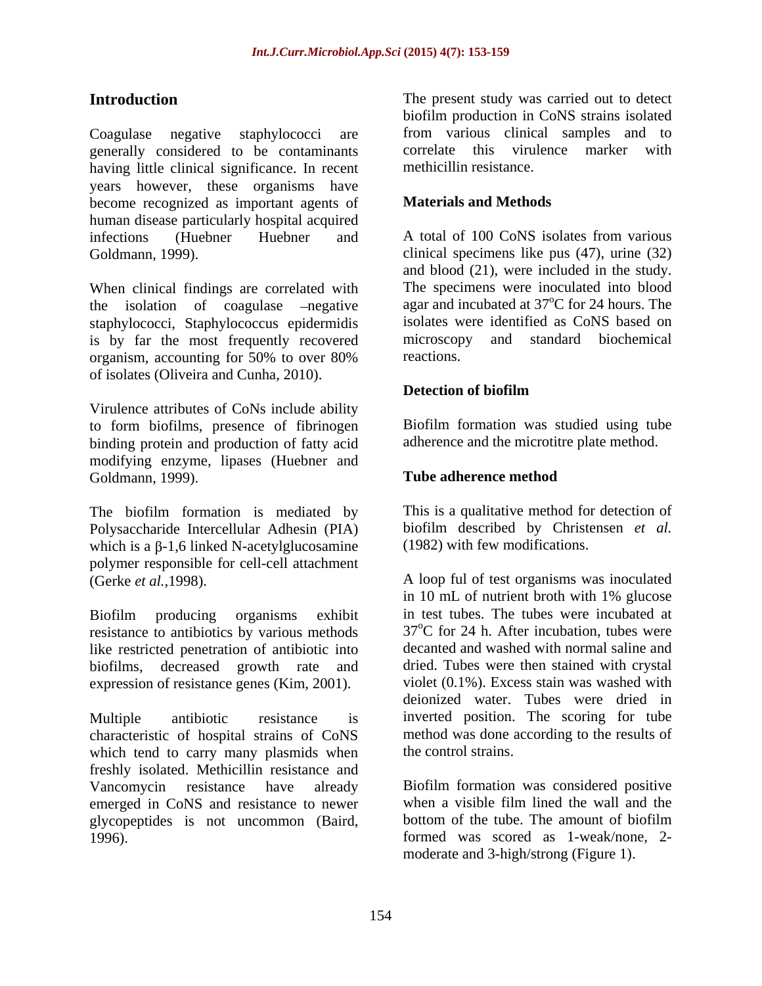generally considered to be contaminants having little clinical significance. In recent years however, these organisms have become recognized as important agents of **Materials and Methods** human disease particularly hospital acquired infections (Huebner Huebner and A total of 100 CoNS isolates from various

When clinical findings are correlated with the isolation of coagulase –negative staphylococci, Staphylococcus epidermidis is by far the most frequently recovered microscopy and standard biochemical<br>organism accounting for 50% to over 80% reactions. organism, accounting for 50% to over 80% of isolates (Oliveira and Cunha, 2010).

Virulence attributes of CoNs include ability to form biofilms, presence of fibrinogen binding protein and production of fatty acid modifying enzyme, lipases (Huebner and Goldmann, 1999). **Tube adherence method** 

The biofilm formation is mediated by Polysaccharide Intercellular Adhesin (PIA) which is a  $\beta$ -1,6 linked N-acetylglucosamine polymer responsible for cell-cell attachment

resistance to antibiotics by various methods like restricted penetration of antibiotic into biofilms, decreased growth rate and expression of resistance genes (Kim, 2001).

characteristic of hospital strains of CoNS which tend to carry many plasmids when the control strains. freshly isolated. Methicillin resistance and Vancomycin resistance have already Biofilm formation was considered positive emerged in CoNS and resistance to newer glycopeptides is not uncommon (Baird,

**Introduction** The present study was carried out to detect Coagulase negative staphylococci are from various clinical samples and to biofilm production in CoNS strains isolated correlate this virulence marker with methicillin resistance.

### **Materials and Methods**

Goldmann, 1999). clinical specimens like pus (47), urine (32) A total of 100 CoNS isolates from various and blood (21), were included in the study. The specimens were inoculated into blood agar and incubated at  $37^{\circ}$ C for 24 hours. The isolates were identified as CoNS based on microscopy and standard biochemical reactions.

### **Detection of biofilm**

Biofilm formation was studied using tube adherence and the microtitre plate method.

### **Tube adherence method**

This is a qualitative method for detection of biofilm described by Christensen *et al.* (1982) with few modifications.

(Gerke *et al.,*1998). A loop ful of test organisms was inoculated Biofilm producing organisms exhibit in test tubes. The tubes were incubated at Multiple antibiotic resistance is inverted position. The scoring for tube **Introduction**<br> **The present study over the present study was carried out to detect a maximum studies a may was carried out to detect a maximum study given the circuit study given the containing the containing the contain** in 10 mL of nutrient broth with 1% glucose in test tubes. The tubes were incubated at  $37^{\circ}$ C for 24 h. After incubation, tubes were decanted and washed with normal saline and dried. Tubes were then stained with crystal violet (0.1%). Excess stain was washed with deionized water. Tubes were dried in method was done according to the results of the control strains.

when a visible film lined the wall and the bottom of the tube. The amount of biofilm formed was scored as 1-weak/none, 2 moderate and 3-high/strong (Figure 1).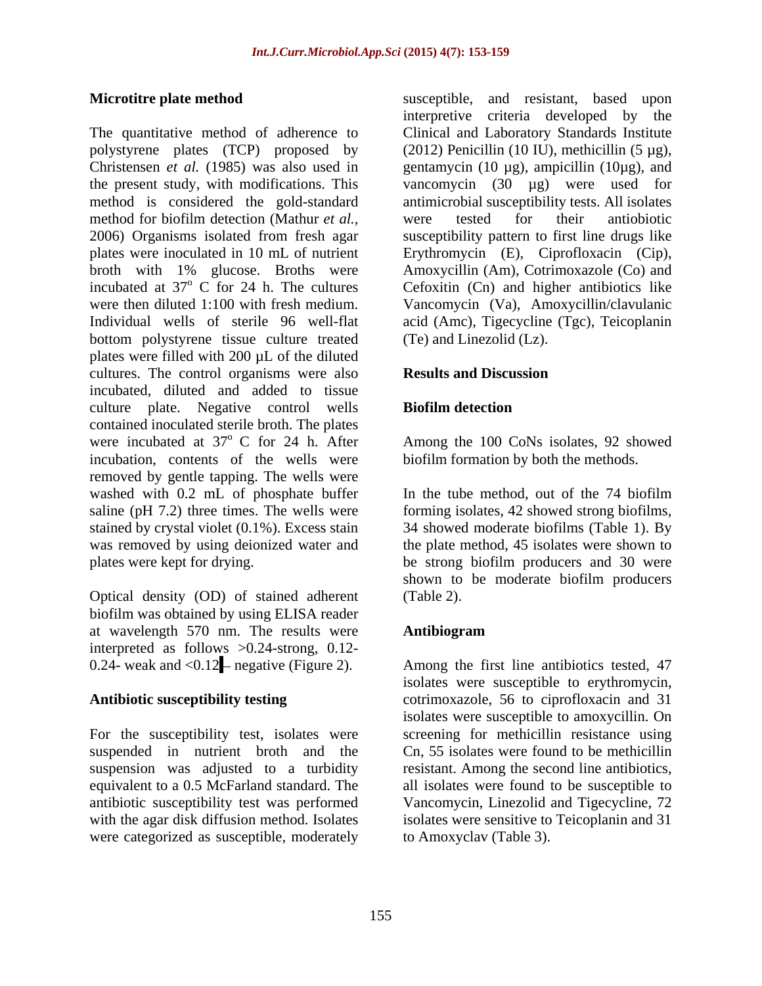polystyrene plates (TCP) proposed by method for biofilm detection (Mathur *et al.*, were tested for their antiobiotic bottom polystyrene tissue culture treated (Te) and Linezolid (Lz). plates were filled with 200 µL of the diluted cultures. The control organisms were also **Results and Discussion** incubated, diluted and added to tissue culture plate. Negative control wells contained inoculated sterile broth. The plates were incubated at 37° C for 24 h. After Among the 100 CoNs isolates, 92 showed incubation, contents of the wells were removed by gentle tapping. The wells were washed with 0.2 mL of phosphate buffer In the tube method, out of the 74 biofilm saline (pH 7.2) three times. The wells were forming isolates, 42 showed strong biofilms, stained by crystal violet (0.1%). Excess stain 34 showed moderate biofilms (Table 1). By was removed by using deionized water and the plate method, 45 isolates were shown to plates were kept for drying. be strong biofilm producers and 30 were

Optical density (OD) of stained adherent biofilm was obtained by using ELISA reader at wavelength 570 nm. The results were interpreted as follows  $>0.24$ -strong, 0.12-<br>0.24- weak and  $< 0.12$  negative (Figure 2).

For the susceptibility test, isolates were were categorized as susceptible, moderately to Amoxyclay (Table 3).

**Microtitre plate method** susceptible, and resistant, based upon The quantitative method of adherence to Clinical and Laboratory Standards Institute Christensen *et al.* (1985) was also used in gentamycin (10 µg), ampicillin (10µg), and the present study, with modifications. This vancomycin (30 µg) were used for method is considered the gold-standard antimicrobial susceptibility tests. All isolates 2006) Organisms isolated from fresh agar susceptibility pattern to first line drugs like plates were inoculated in 10 mL of nutrient Erythromycin (E), Ciprofloxacin (Cip), broth with 1% glucose. Broths were Amoxycillin (Am), Cotrimoxazole (Co) and incubated at  $37^{\circ}$  C for 24 h. The cultures Cefoxitin (Cn) and higher antibiotics like were then diluted 1:100 with fresh medium. Vancomycin (Va), Amoxycillin/clavulanic Individual wells of sterile 96 well-flat acid (Amc), Tigecycline (Tgc), Teicoplanin interpretive criteria developed by the (2012) Penicillin (10 IU), methicillin  $(5 \mu g)$ , were tested for their antiobiotic (Te) and Linezolid (Lz).

### **Results and Discussion**

### **Biofilm detection**

biofilm formation by both the methods.

shown to be moderate biofilm producers (Table 2).

### **Antibiogram**

0.24- weak and <0.12 negative (Figure 2). Among the first line antibiotics tested, 47 **Antibiotic susceptibility testing** cotrimoxazole, 56 to ciprofloxacin and 31 suspended in nutrient broth and the Cn, 55 isolates were found to be methicillin suspension was adjusted to a turbidity resistant. Among the second line antibiotics, equivalent to a 0.5 McFarland standard. The all isolates were found to be susceptible to antibiotic susceptibility test was performed Vancomycin, Linezolid and Tigecycline, 72 with the agar disk diffusion method. Isolates isolates were sensitive to Teicoplanin and 31 isolates were susceptible to erythromycin, isolates were susceptible to amoxycillin. On screening for methicillin resistance using to Amoxyclav (Table 3).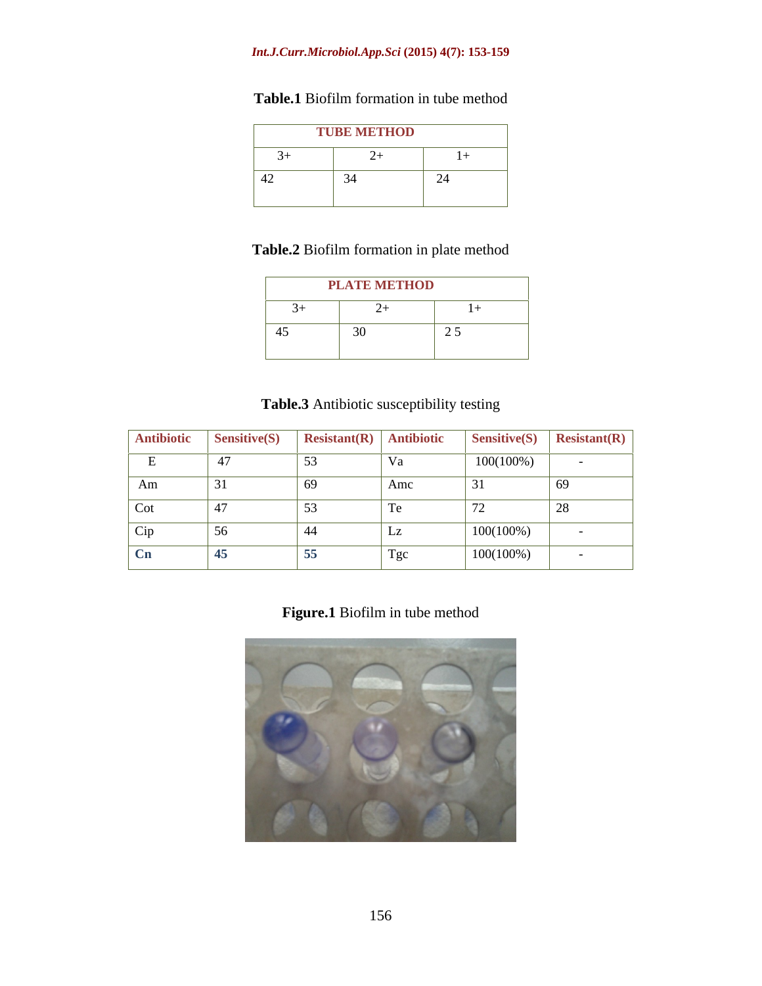### *Int.J.Curr.Microbiol.App.Sci* **(2015) 4(7): 153-159**

# **Table.1** Biofilm formation in tube method

| --- | <b>TURE METHOD</b><br>_____                                                      |  |
|-----|----------------------------------------------------------------------------------|--|
|     | ,我们也不能在这里,我们也不能不能不能不能不能不能不能不能不能不能不能不能不能不能不能不能。""我们,我们也不能不能不能不能不能不能不能不能不能不能不能不能不能 |  |
|     |                                                                                  |  |

# **Table.2** Biofilm formation in plate method

| $\mathbf{r}$                                                                                                                                                                                                                                                                                                                                                                                      | <b>LATE METHOD</b><br>_______ |                                                  |
|---------------------------------------------------------------------------------------------------------------------------------------------------------------------------------------------------------------------------------------------------------------------------------------------------------------------------------------------------------------------------------------------------|-------------------------------|--------------------------------------------------|
|                                                                                                                                                                                                                                                                                                                                                                                                   |                               |                                                  |
| $\overline{A}$ $\overline{C}$ $\overline{C}$ $\overline{C}$ $\overline{C}$ $\overline{C}$ $\overline{C}$ $\overline{C}$ $\overline{C}$ $\overline{C}$ $\overline{C}$ $\overline{C}$ $\overline{C}$ $\overline{C}$ $\overline{C}$ $\overline{C}$ $\overline{C}$ $\overline{C}$ $\overline{C}$ $\overline{C}$ $\overline{C}$ $\overline{C}$ $\overline{C}$ $\overline{C}$ $\overline{$<br>∸<br>$ -$ |                               | $\sim$ $\sim$ $\sim$<br>$\overline{\phantom{a}}$ |

## **Table.3** Antibiotic susceptibility testing

|     | Antibiotic Sensitive(S) Resistant(R) Antibiotic |          |              |              | $\left $ Sensitive(S) $\left $ Resistant(R) $\right $ |
|-----|-------------------------------------------------|----------|--------------|--------------|-------------------------------------------------------|
|     |                                                 | <u>-</u> | $\mathbf{v}$ | $100(100\%)$ |                                                       |
| Am  |                                                 |          | Amc          |              | 69                                                    |
| Cot |                                                 | J.       |              |              | 28                                                    |
| Cip |                                                 | - 44     | ப            | $100(100\%)$ |                                                       |
|     |                                                 | 55       | Tgc          | $100(100\%)$ |                                                       |

# **Figure.1** Biofilm in tube method

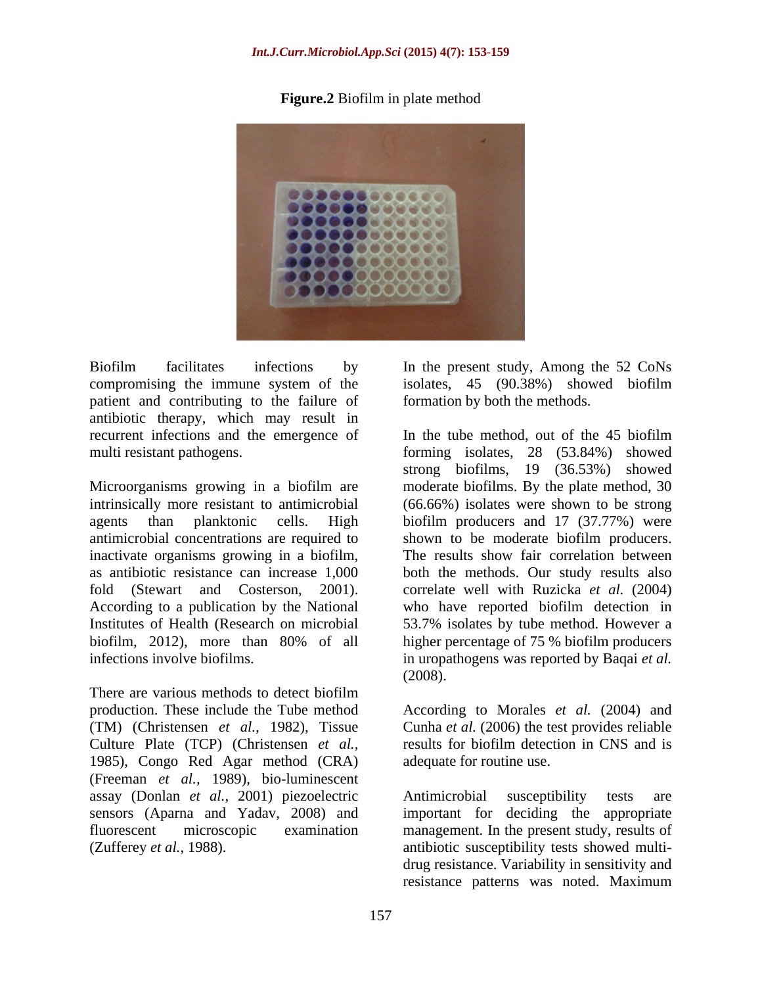**Figure.2** Biofilm in plate method



compromising the immune system of the isolates, 45 (90.38%) showed biofilm patient and contributing to the failure of antibiotic therapy, which may result in recurrent infections and the emergence of In the tube method, out of the 45 biofilm

Microorganisms growing in a biofilm are moderate biofilms. By the plate method, 30 intrinsically more resistant to antimicrobial (66.66%) isolates were shown to be strong agents than planktonic cells. High biofilm producers and 17 (37.77%) were antimicrobial concentrations are required to inactivate organisms growing in a biofilm, as antibiotic resistance can increase 1,000 both the methods. Our study results also fold (Stewart and Costerson, 2001). correlate well with Ruzicka *et al.* (2004) According to a publication by the National Institutes of Health (Research on microbial 53.7% isolates by tube method. However a biofilm, 2012), more than 80% of all higher percentage of 75 % biofilm producers

There are various methods to detect biofilm production. These include the Tube method According to Morales *et al.* (2004) and (TM) (Christensen *et al.,* 1982), Tissue Cunha *et al.* (2006) the test provides reliable Culture Plate (TCP) (Christensen *et al.,* 1985), Congo Red Agar method (CRA) (Freeman *et al.,* 1989), bio-luminescent assay (Donlan *et al.,* 2001) piezoelectric sensors (Aparna and Yadav, 2008) and

Biofilm facilitates infections by In the present study, Among the 52 CoNs formation by both the methods.

multi resistant pathogens. forming isolates, 28 (53.84%) showed infections involve biofilms. in uropathogens was reported by Baqai *et al.*  In the tube method, out of the 45 biofilm strong biofilms, 19 (36.53%) showed shown to be moderate biofilm producers. The results show fair correlation between who have reported biofilm detection in higher percentage of 75 % biofilm producers (2008).

> results for biofilm detection in CNS and is adequate for routine use.

fluorescent microscopic examination management. In the present study, results of (Zufferey *et al.,* 1988). antibiotic susceptibility tests showed multi- Antimicrobial susceptibility tests are important for deciding the appropriate drug resistance. Variability in sensitivity and resistance patterns was noted. Maximum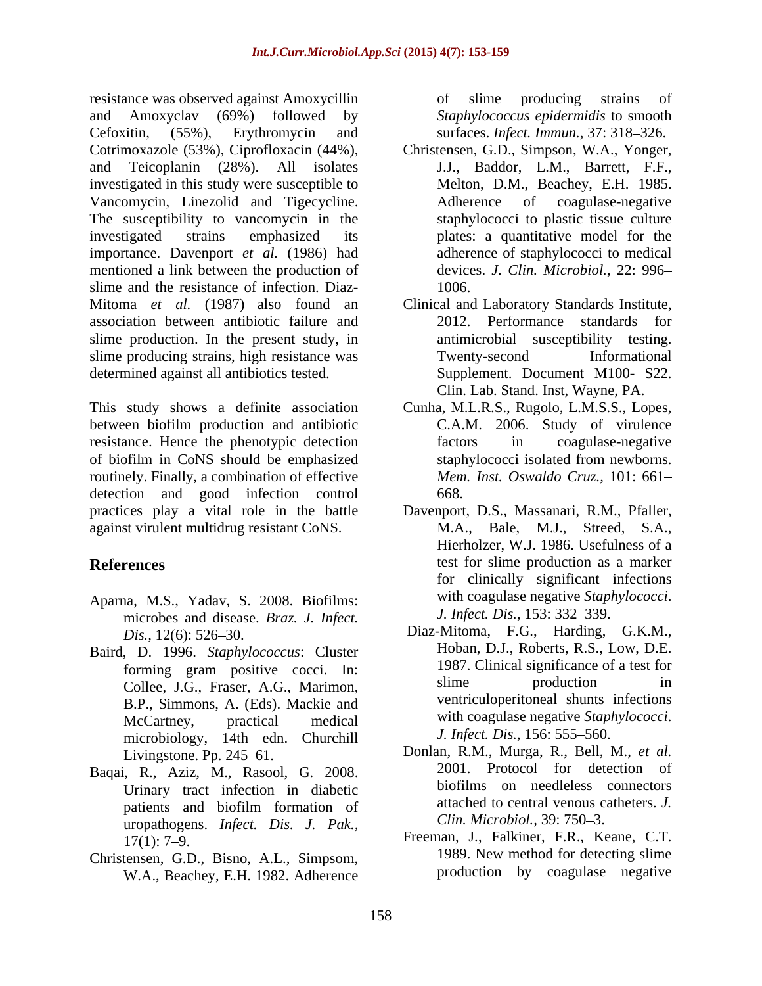resistance was observed against Amoxycillin and Amoxyclav (69%) followed by *Staphylococcus epidermidis* to smooth Cefoxitin, (55%), Erythromycin and surfaces. *Infect. Immun.*, 37: 318–326. Cotrimoxazole (53%), Ciprofloxacin (44%), Christensen, G.D., Simpson, W.A., Yonger, and Teicoplanin (28%). All isolates J.J., Baddor, L.M., Barrett, F.F., investigated in this study were susceptible to Vancomycin, Linezolid and Tigecycline. The susceptibility to vancomycin in the investigated strains emphasized its plates: a quantitative model for the importance. Davenport *et al.* (1986) had mentioned a link between the production of slime and the resistance of infection. Diaz-<br>1006. Mitoma *et al.* (1987) also found an Clinical and Laboratory Standards Institute, association between antibiotic failure and slime production. In the present study, in slime producing strains, high resistance was Twenty-second Informational determined against all antibiotics tested.

This study shows a definite association Cunha, M.L.R.S., Rugolo, L.M.S.S., Lopes, between biofilm production and antibiotic resistance. Hence the phenotypic detection factors in coagulase-negative of biofilm in CoNS should be emphasized routinely. Finally, a combination of effective detection and good infection control 668. practices play a vital role in the battle Davenport, D.S., Massanari, R.M., Pfaller, against virulent multidrug resistant CoNS.

- Aparna, M.S., Yadav, S. 2008. Biofilms: microbes and disease. *Braz. J. Infect.*
- Baird, D. 1996. *Staphylococcus*: Cluster Collee, J.G., Fraser, A.G., Marimon, B.P., Simmons, A. (Eds). Mackie and microbiology, 14th edn. Churchill
- Baqai, R., Aziz, M., Rasool, G. 2008. Urinary tract infection in diabetic uropathogens. *Infect. Dis. J. Pak.,*
- Christensen, G.D., Bisno, A.L., Simpsom, W.A., Beachey, E.H. 1982. Adherence

of slime producing strains of

- Melton, D.M., Beachey, E.H. 1985. Adherence of coagulase-negative staphylococci to plastic tissue culture adherence of staphylococci to medical devices. *J. Clin. Microbiol.,* 22: 996 1006.
- 2012. Performance standards for antimicrobial susceptibility testing. Twenty-second Informational Supplement. Document M100- S22. Clin. Lab. Stand. Inst, Wayne, PA.
- C.A.M. 2006. Study of virulence factors in coagulase-negative staphylococci isolated from newborns. *Mem. Inst. Oswaldo Cruz.,* 101: 661 668.
- **References** test for slime production as a marker M.A., Bale, M.J., Streed, S.A., Hierholzer, W.J. 1986. Usefulness of a for clinically significant infections with coagulase negative *Staphylococci*. *J. Infect. Dis.,* 153: 332–339.
	- *Dis.,* 12(6): 526 30. Diaz-Mitoma, F.G., Harding, G.K.M., forming gram positive cocci. In: 1987. Clinical significance of a test for<br>
	College LG Fraser A.G Meriman slime production in McCartney, practical medical with coagulase negative *Staphylococci*. Hoban, D.J., Roberts, R.S., Low, D.E. 1987. Clinical significance of a test for slime production in ventriculoperitoneal shunts infections *J. Infect. Dis.,* 156: 555–560.
	- Livingstone. Pp. 245 61. Donlan, R.M., Murga, R., Bell, M., *et al.* patients and biofilm formation of attached to central venous catheters. J. 2001. Protocol for detection of biofilms on needleless connectors attached to central venous catheters. *J. Clin. Microbiol.,* 39: 750–3.
	- 17(1): 7–9. **Example 17(1): 7–9.** Freeman, J., Falkiner, F.R., Keane, C.T. 1989. New method for detecting slime production by coagulase negative